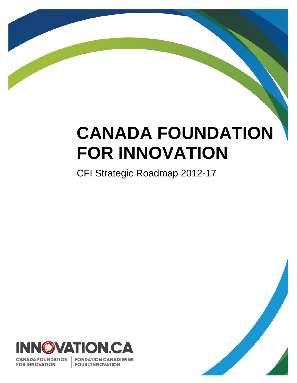# **CANADA FOUNDATION FOR INNOVATION**

CFI Strategic Roadmap 2012-17



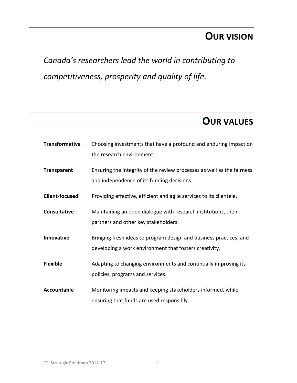# **OUR VISION**

*Canada's researchers lead the world in contributing to competitiveness, prosperity and quality of life.*

# **OUR VALUES**

| <b>Transformative</b> | Choosing investments that have a profound and enduring impact on       |
|-----------------------|------------------------------------------------------------------------|
|                       | the research environment.                                              |
| <b>Transparent</b>    | Ensuring the integrity of the review processes as well as the fairness |
|                       | and independence of its funding decisions.                             |
| <b>Client-focused</b> | Providing effective, efficient and agile services to its clientele.    |
| <b>Consultative</b>   | Maintaining an open dialogue with research institutions, their         |
|                       | partners and other key stakeholders.                                   |
| Innovative            | Bringing fresh ideas to program design and business practices, and     |
|                       | developing a work environment that fosters creativity.                 |
| <b>Flexible</b>       | Adapting to changing environments and continually improving its        |
|                       | policies, programs and services.                                       |
| <b>Accountable</b>    | Monitoring impacts and keeping stakeholders informed, while            |
|                       | ensuring that funds are used responsibly.                              |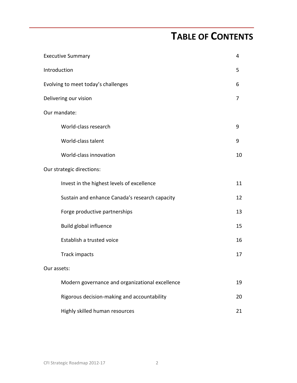# **TABLE OF CONTENTS**

|                                     | <b>Executive Summary</b>                        |    |  |
|-------------------------------------|-------------------------------------------------|----|--|
| Introduction                        |                                                 |    |  |
| Evolving to meet today's challenges |                                                 |    |  |
| Delivering our vision               |                                                 |    |  |
|                                     | Our mandate:                                    |    |  |
|                                     | World-class research                            | 9  |  |
|                                     | World-class talent                              | 9  |  |
|                                     | World-class innovation                          | 10 |  |
|                                     | Our strategic directions:                       |    |  |
|                                     | Invest in the highest levels of excellence      | 11 |  |
|                                     | Sustain and enhance Canada's research capacity  | 12 |  |
|                                     | Forge productive partnerships                   | 13 |  |
|                                     | Build global influence                          | 15 |  |
|                                     | Establish a trusted voice                       | 16 |  |
|                                     | Track impacts                                   | 17 |  |
| Our assets:                         |                                                 |    |  |
|                                     | Modern governance and organizational excellence | 19 |  |
|                                     | Rigorous decision-making and accountability     | 20 |  |
|                                     | Highly skilled human resources                  | 21 |  |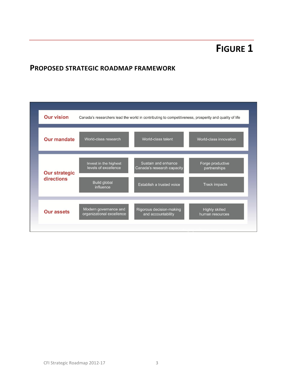# **FIGURE 1**

# **PROPOSED STRATEGIC ROADMAP FRAMEWORK**

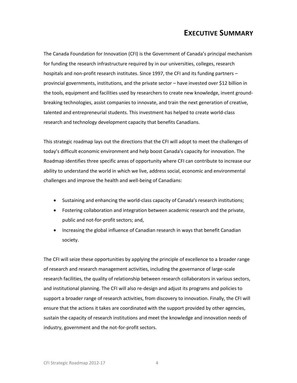# **EXECUTIVE SUMMARY**

The Canada Foundation for Innovation (CFI) is the Government of Canada's principal mechanism for funding the research infrastructure required by in our universities, colleges, research hospitals and non-profit research institutes. Since 1997, the CFI and its funding partners provincial governments, institutions, and the private sector – have invested over \$12 billion in the tools, equipment and facilities used by researchers to create new knowledge, invent groundbreaking technologies, assist companies to innovate, and train the next generation of creative, talented and entrepreneurial students. This investment has helped to create world-class research and technology development capacity that benefits Canadians.

This strategic roadmap lays out the directions that the CFI will adopt to meet the challenges of today's difficult economic environment and help boost Canada's capacity for innovation. The Roadmap identifies three specific areas of opportunity where CFI can contribute to increase our ability to understand the world in which we live, address social, economic and environmental challenges and improve the health and well-being of Canadians:

- Sustaining and enhancing the world-class capacity of Canada's research institutions;
- Fostering collaboration and integration between academic research and the private, public and not-for-profit sectors; and,
- Increasing the global influence of Canadian research in ways that benefit Canadian society.

The CFI will seize these opportunities by applying the principle of excellence to a broader range of research and research management activities, including the governance of large-scale research facilities, the quality of relationship between research collaborators in various sectors, and institutional planning. The CFI will also re-design and adjust its programs and policies to support a broader range of research activities, from discovery to innovation. Finally, the CFI will ensure that the actions it takes are coordinated with the support provided by other agencies, sustain the capacity of research institutions and meet the knowledge and innovation needs of industry, government and the not-for-profit sectors.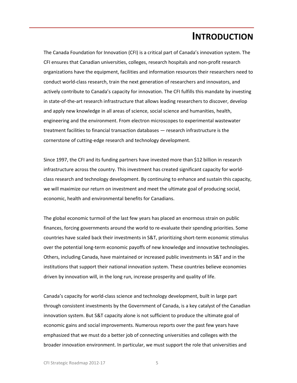# **INTRODUCTION**

The Canada Foundation for Innovation (CFI) is a critical part of Canada's innovation system. The CFI ensures that Canadian universities, colleges, research hospitals and non-profit research organizations have the equipment, facilities and information resources their researchers need to conduct world-class research, train the next generation of researchers and innovators, and actively contribute to Canada's capacity for innovation. The CFI fulfills this mandate by investing in state-of-the-art research infrastructure that allows leading researchers to discover, develop and apply new knowledge in all areas of science, social science and humanities, health, engineering and the environment. From electron microscopes to experimental wastewater treatment facilities to financial transaction databases — research infrastructure is the cornerstone of cutting-edge research and technology development.

Since 1997, the CFI and its funding partners have invested more than \$12 billion in research infrastructure across the country. This investment has created significant capacity for worldclass research and technology development. By continuing to enhance and sustain this capacity, we will maximize our return on investment and meet the ultimate goal of producing social, economic, health and environmental benefits for Canadians.

The global economic turmoil of the last few years has placed an enormous strain on public finances, forcing governments around the world to re-evaluate their spending priorities. Some countries have scaled back their investments in S&T, prioritizing short-term economic stimulus over the potential long-term economic payoffs of new knowledge and innovative technologies. Others, including Canada, have maintained or increased public investments in S&T and in the institutions that support their national innovation system. These countries believe economies driven by innovation will, in the long run, increase prosperity and quality of life.

Canada's capacity for world-class science and technology development, built in large part through consistent investments by the Government of Canada, is a key catalyst of the Canadian innovation system. But S&T capacity alone is not sufficient to produce the ultimate goal of economic gains and social improvements. Numerous reports over the past few years have emphasized that we must do a better job of connecting universities and colleges with the broader innovation environment. In particular, we must support the role that universities and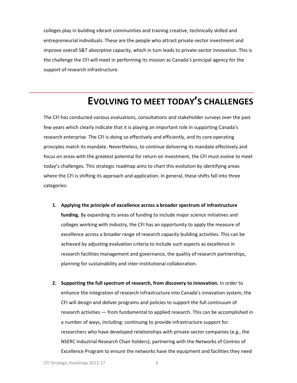colleges play in building vibrant communities and training creative, technically skilled and entrepreneurial individuals. These are the people who attract private-sector investment and improve overall S&T absorptive capacity, which in turn leads to private-sector innovation. This is the challenge the CFI will meet in performing its mission as Canada's principal agency for the support of research infrastructure.

# **EVOLVING TO MEET TODAY'S CHALLENGES**

The CFI has conducted various evaluations, consultations and stakeholder surveys over the past few years which clearly indicate that it is playing an important role in supporting Canada's research enterprise. The CFI is doing so effectively and efficiently, and its core operating principles match its mandate. Nevertheless, to continue delivering its mandate effectively and focus on areas with the greatest potential for return on investment, the CFI must evolve to meet today's challenges. This strategic roadmap aims to chart this evolution by identifying areas where the CFI is shifting its approach and application. In general, these shifts fall into three categories:

- **1. Applying the principle of excellence across a broader spectrum of infrastructure funding.** By expanding its areas of funding to include major science initiatives and colleges working with industry, the CFI has an opportunity to apply the measure of excellence across a broader range of research capacity building activities. This can be achieved by adjusting evaluation criteria to include such aspects as excellence in research facilities management and governance, the quality of research partnerships, planning for sustainability and inter-institutional collaboration.
- **2. Supporting the full spectrum of research, from discovery to innovation.** In order to enhance the integration of research infrastructure into Canada's innovation system, the CFI will design and deliver programs and policies to support the full continuum of research activities — from fundamental to applied research. This can be accomplished in a number of ways, including: continuing to provide infrastructure support for researchers who have developed relationships with private-sector companies (e.g., the NSERC Industrial Research Chair holders); partnering with the Networks of Centres of Excellence Program to ensure the networks have the equipment and facilities they need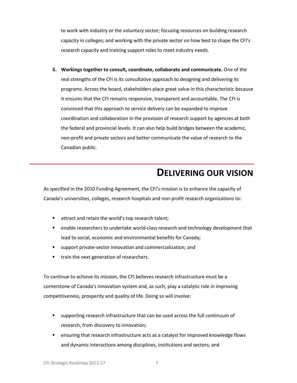to work with industry or the voluntary sector; focusing resources on building research capacity in colleges; and working with the private sector on how best to shape the CFI's research capacity and training support roles to meet industry needs.

**3. Workings together to consult, coordinate, collaborate and communicate.** One of the real strengths of the CFI is its consultative approach to designing and delivering its programs. Across the board, stakeholders place great value in this characteristic because it ensures that the CFI remains responsive, transparent and accountable. The CFI is convinced that this approach to service delivery can be expanded to improve coordination and collaboration in the provision of research support by agencies at both the federal and provincial levels. It can also help build bridges between the academic, non-profit and private sectors and better communicate the value of research to the Canadian public.

# **DELIVERING OUR VISION**

As specified in the 2010 Funding Agreement, the CFI's mission is to enhance the capacity of Canada's universities, colleges, research hospitals and non-profit research organizations to:

- **EXECUTE:** attract and retain the world's top research talent;
- **EXECO FEDER** researchers to undertake world-class research and technology development that lead to social, economic and environmental benefits for Canada;
- support private-sector innovation and commercialization; and
- **train the next generation of researchers.**

To continue to achieve its mission, the CFI believes research infrastructure must be a cornerstone of Canada's innovation system and, as such, play a catalytic role in improving competitiveness, prosperity and quality of life. Doing so will involve:

- supporting research infrastructure that can be used across the full continuum of research, from discovery to innovation;
- ensuring that research infrastructure acts as a catalyst for improved knowledge flows and dynamic interactions among disciplines, institutions and sectors; and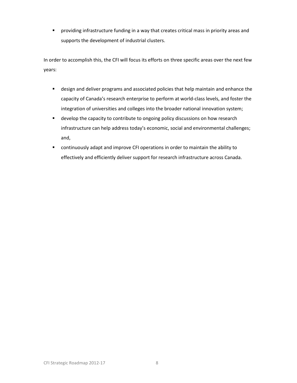providing infrastructure funding in a way that creates critical mass in priority areas and supports the development of industrial clusters.

In order to accomplish this, the CFI will focus its efforts on three specific areas over the next few years:

- design and deliver programs and associated policies that help maintain and enhance the capacity of Canada's research enterprise to perform at world-class levels, and foster the integration of universities and colleges into the broader national innovation system;
- **•** develop the capacity to contribute to ongoing policy discussions on how research infrastructure can help address today's economic, social and environmental challenges; and,
- continuously adapt and improve CFI operations in order to maintain the ability to effectively and efficiently deliver support for research infrastructure across Canada.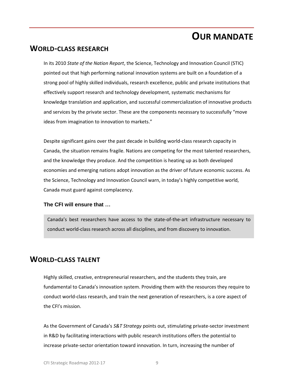# **OUR MANDATE**

## **WORLD-CLASS RESEARCH**

In its 2010 *State of the Nation Report*, the Science, Technology and Innovation Council (STIC) pointed out that high performing national innovation systems are built on a foundation of a strong pool of highly skilled individuals, research excellence, public and private institutions that effectively support research and technology development, systematic mechanisms for knowledge translation and application, and successful commercialization of innovative products and services by the private sector. These are the components necessary to successfully "move ideas from imagination to innovation to markets."

Despite significant gains over the past decade in building world-class research capacity in Canada, the situation remains fragile. Nations are competing for the most talented researchers, and the knowledge they produce. And the competition is heating up as both developed economies and emerging nations adopt innovation as the driver of future economic success. As the Science, Technology and Innovation Council warn, in today's highly competitive world, Canada must guard against complacency.

## **The CFI will ensure that …**

Canada's best researchers have access to the state-of-the-art infrastructure necessary to conduct world-class research across all disciplines, and from discovery to innovation.

# **WORLD-CLASS TALENT**

Highly skilled, creative, entrepreneurial researchers, and the students they train, are fundamental to Canada's innovation system. Providing them with the resources they require to conduct world-class research, and train the next generation of researchers, is a core aspect of the CFI's mission.

As the Government of Canada's *S&T Strategy* points out, stimulating private-sector investment in R&D by facilitating interactions with public research institutions offers the potential to increase private-sector orientation toward innovation. In turn, increasing the number of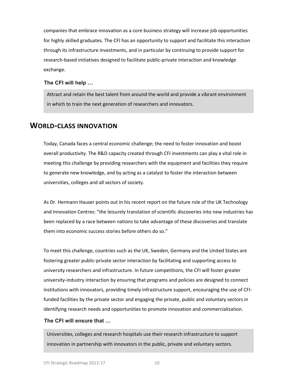companies that embrace innovation as a core business strategy will increase job opportunities for highly skilled graduates. The CFI has an opportunity to support and facilitate this interaction through its infrastructure investments, and in particular by continuing to provide support for research-based initiatives designed to facilitate public-private interaction and knowledge exchange.

#### **The CFI will help …**

Attract and retain the best talent from around the world and provide a vibrant environment in which to train the next generation of researchers and innovators.

## **WORLD-CLASS INNOVATION**

Today, Canada faces a central economic challenge; the need to foster innovation and boost overall productivity. The R&D capacity created through CFI investments can play a vital role in meeting this challenge by providing researchers with the equipment and facilities they require to generate new knowledge, and by acting as a catalyst to foster the interaction between universities, colleges and all sectors of society.

As Dr. Hermann Hauser points out in his recent report on the future role of the UK Technology and Innovation Centres: "the leisurely translation of scientific discoveries into new industries has been replaced by a race between nations to take advantage of these discoveries and translate them into economic success stories before others do so."

To meet this challenge, countries such as the UK, Sweden, Germany and the United States are fostering greater public-private sector interaction by facilitating and supporting access to university researchers and infrastructure. In future competitions, the CFI will foster greater university-industry interaction by ensuring that programs and policies are designed to connect institutions with innovators, providing timely infrastructure support, encouraging the use of CFIfunded facilities by the private sector and engaging the private, public and voluntary sectors in identifying research needs and opportunities to promote innovation and commercialization.

#### **The CFI will ensure that …**

Universities, colleges and research hospitals use their research infrastructure to support innovation in partnership with innovators in the public, private and voluntary sectors.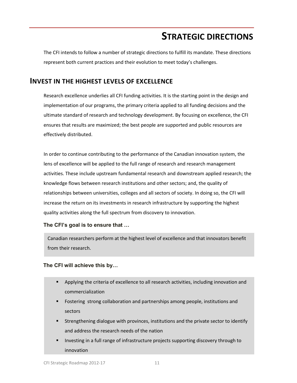# **STRATEGIC DIRECTIONS**

The CFI intends to follow a number of strategic directions to fulfill its mandate. These directions represent both current practices and their evolution to meet today's challenges.

## **INVEST IN THE HIGHEST LEVELS OF EXCELLENCE**

Research excellence underlies all CFI funding activities. It is the starting point in the design and implementation of our programs, the primary criteria applied to all funding decisions and the ultimate standard of research and technology development. By focusing on excellence, the CFI ensures that results are maximized; the best people are supported and public resources are effectively distributed.

In order to continue contributing to the performance of the Canadian innovation system, the lens of excellence will be applied to the full range of research and research management activities. These include upstream fundamental research and downstream applied research; the knowledge flows between research institutions and other sectors; and, the quality of relationships between universities, colleges and all sectors of society. In doing so, the CFI will increase the return on its investments in research infrastructure by supporting the highest quality activities along the full spectrum from discovery to innovation.

#### **The CFI's goal is to ensure that …**

Canadian researchers perform at the highest level of excellence and that innovators benefit from their research.

## **The CFI will achieve this by…**

- Applying the criteria of excellence to all research activities, including innovation and commercialization
- **Filter Fostering strong collaboration and partnerships among people, institutions and** sectors
- **Strengthening dialogue with provinces, institutions and the private sector to identify** and address the research needs of the nation
- Investing in a full range of infrastructure projects supporting discovery through to innovation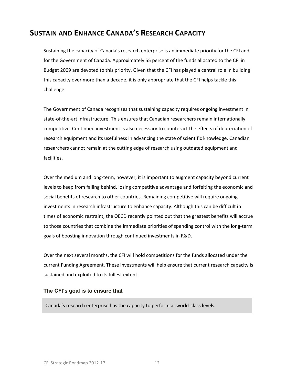# **SUSTAIN AND ENHANCE CANADA'S RESEARCH CAPACITY**

Sustaining the capacity of Canada's research enterprise is an immediate priority for the CFI and for the Government of Canada. Approximately 55 percent of the funds allocated to the CFI in Budget 2009 are devoted to this priority. Given that the CFI has played a central role in building this capacity over more than a decade, it is only appropriate that the CFI helps tackle this challenge.

The Government of Canada recognizes that sustaining capacity requires ongoing investment in state-of-the-art infrastructure. This ensures that Canadian researchers remain internationally competitive. Continued investment is also necessary to counteract the effects of depreciation of research equipment and its usefulness in advancing the state of scientific knowledge. Canadian researchers cannot remain at the cutting edge of research using outdated equipment and facilities.

Over the medium and long-term, however, it is important to augment capacity beyond current levels to keep from falling behind, losing competitive advantage and forfeiting the economic and social benefits of research to other countries. Remaining competitive will require ongoing investments in research infrastructure to enhance capacity. Although this can be difficult in times of economic restraint, the OECD recently pointed out that the greatest benefits will accrue to those countries that combine the immediate priorities of spending control with the long-term goals of boosting innovation through continued investments in R&D.

Over the next several months, the CFI will hold competitions for the funds allocated under the current Funding Agreement. These investments will help ensure that current research capacity is sustained and exploited to its fullest extent.

#### **The CFI's goal is to ensure that**

Canada's research enterprise has the capacity to perform at world-class levels.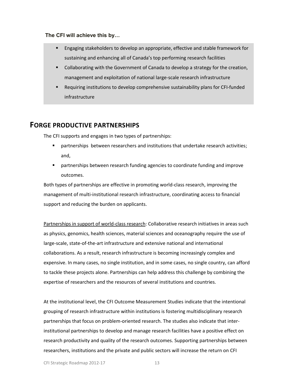#### **The CFI will achieve this by…**

- Engaging stakeholders to develop an appropriate, effective and stable framework for sustaining and enhancing all of Canada's top performing research facilities
- Collaborating with the Government of Canada to develop a strategy for the creation, management and exploitation of national large-scale research infrastructure
- Requiring institutions to develop comprehensive sustainability plans for CFI-funded infrastructure

# **FORGE PRODUCTIVE PARTNERSHIPS**

The CFI supports and engages in two types of partnerships:

- **Phart in antigoral part is example 2** opertual or that undertake research activities; and,
- partnerships between research funding agencies to coordinate funding and improve outcomes.

Both types of partnerships are effective in promoting world-class research, improving the management of multi-institutional research infrastructure, coordinating access to financial support and reducing the burden on applicants.

Partnerships in support of world-class research: Collaborative research initiatives in areas such as physics, genomics, health sciences, material sciences and oceanography require the use of large-scale, state-of-the-art infrastructure and extensive national and international collaborations. As a result, research infrastructure is becoming increasingly complex and expensive. In many cases, no single institution, and in some cases, no single country, can afford to tackle these projects alone. Partnerships can help address this challenge by combining the expertise of researchers and the resources of several institutions and countries.

At the institutional level, the CFI Outcome Measurement Studies indicate that the intentional grouping of research infrastructure within institutions is fostering multidisciplinary research partnerships that focus on problem-oriented research. The studies also indicate that interinstitutional partnerships to develop and manage research facilities have a positive effect on research productivity and quality of the research outcomes. Supporting partnerships between researchers, institutions and the private and public sectors will increase the return on CFI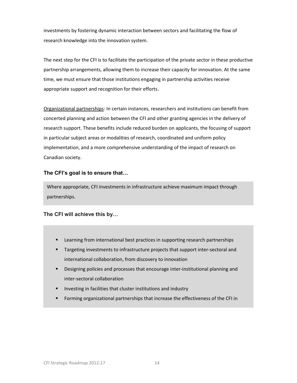investments by fostering dynamic interaction between sectors and facilitating the flow of research knowledge into the innovation system.

The next step for the CFI is to facilitate the participation of the private sector in these productive partnership arrangements, allowing them to increase their capacity for innovation. At the same time, we must ensure that those institutions engaging in partnership activities receive appropriate support and recognition for their efforts.

Organizational partnerships: In certain instances, researchers and institutions can benefit from concerted planning and action between the CFI and other granting agencies in the delivery of research support. These benefits include reduced burden on applicants, the focusing of support in particular subject areas or modalities of research, coordinated and uniform policy implementation, and a more comprehensive understanding of the impact of research on Canadian society.

## **The CFI's goal is to ensure that…**

Where appropriate, CFI investments in infrastructure achieve maximum impact through partnerships.

**The CFI will achieve this by…**

- **EXECTE:** Learning from international best practices in supporting research partnerships
- Targeting investments to infrastructure projects that support inter-sectoral and international collaboration, from discovery to innovation
- Designing policies and processes that encourage inter-institutional planning and inter-sectoral collaboration
- Investing in facilities that cluster institutions and industry
- Forming organizational partnerships that increase the effectiveness of the CFI in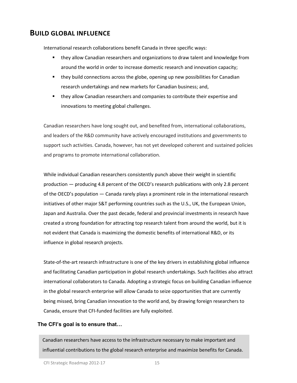# **BUILD GLOBAL INFLUENCE**

International research collaborations benefit Canada in three specific ways:

- **they allow Canadian researchers and organizations to draw talent and knowledge from** around the world in order to increase domestic research and innovation capacity;
- **they build connections across the globe, opening up new possibilities for Canadian** research undertakings and new markets for Canadian business; and,
- they allow Canadian researchers and companies to contribute their expertise and innovations to meeting global challenges.

Canadian researchers have long sought out, and benefited from, international collaborations, and leaders of the R&D community have actively encouraged institutions and governments to support such activities. Canada, however, has not yet developed coherent and sustained policies and programs to promote international collaboration.

While individual Canadian researchers consistently punch above their weight in scientific production — producing 4.8 percent of the OECD's research publications with only 2.8 percent of the OECD's population — Canada rarely plays a prominent role in the international research initiatives of other major S&T performing countries such as the U.S., UK, the European Union, Japan and Australia. Over the past decade, federal and provincial investments in research have created a strong foundation for attracting top research talent from around the world, but it is not evident that Canada is maximizing the domestic benefits of international R&D, or its influence in global research projects.

State-of-the-art research infrastructure is one of the key drivers in establishing global influence and facilitating Canadian participation in global research undertakings. Such facilities also attract international collaborators to Canada. Adopting a strategic focus on building Canadian influence in the global research enterprise will allow Canada to seize opportunities that are currently being missed, bring Canadian innovation to the world and, by drawing foreign researchers to Canada, ensure that CFI-funded facilities are fully exploited.

## **The CFI's goal is to ensure that…**

Canadian researchers have access to the infrastructure necessary to make important and influential contributions to the global research enterprise and maximize benefits for Canada.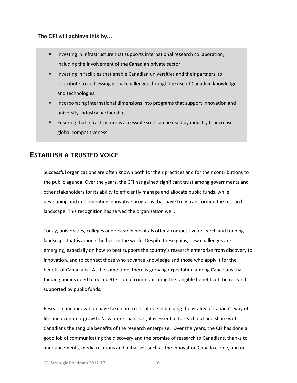#### **The CFI will achieve this by…**

- Investing in infrastructure that supports international research collaboration, including the involvement of the Canadian private sector
- Investing in facilities that enable Canadian universities and their partners to contribute to addressing global challenges through the use of Canadian knowledge and technologies
- Incorporating international dimensions into programs that support innovation and university-industry partnerships
- Ensuring that infrastructure is accessible so it can be used by industry to increase global competitiveness

# **ESTABLISH A TRUSTED VOICE**

Successful organizations are often known both for their practices and for their contributions to the public agenda. Over the years, the CFI has gained significant trust among governments and other stakeholders for its ability to efficiently manage and allocate public funds, while developing and implementing innovative programs that have truly transformed the research landscape. This recognition has served the organization well.

Today, universities, colleges and research hospitals offer a competitive research and training landscape that is among the best in the world. Despite these gains, new challenges are emerging, especially on how to best support the country's research enterprise from discovery to innovation, and to connect those who advance knowledge and those who apply it for the benefit of Canadians. At the same time, there is growing expectation among Canadians that funding bodies need to do a better job of communicating the tangible benefits of the research supported by public funds.

Research and innovation have taken on a critical role in building the vitality of Canada's way of life and economic growth. Now more than ever, it is essential to reach out and share with Canadians the tangible benefits of the research enterprise. Over the years, the CFI has done a good job of communicating the discovery and the promise of research to Canadians, thanks to announcements, media relations and initiatives such as the Innovation Canada e-zine, and on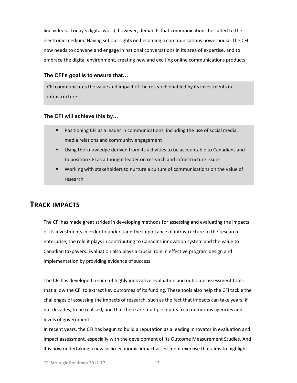line videos. Today's digital world, however, demands that communications be suited to the electronic medium. Having set our sights on becoming a communications powerhouse, the CFI now needs to convene and engage in national conversations in its area of expertise, and to embrace the digital environment, creating new and exciting online communications products.

#### **The CFI's goal is to ensure that…**

CFI communicates the value and impact of the research enabled by its investments in infrastructure.

#### **The CFI will achieve this by…**

- **Positioning CFI as a leader in communications, including the use of social media,** media relations and community engagement
- Using the knowledge derived from its activities to be accountable to Canadians and to position CFI as a thought leader on research and infrastructure issues
- Working with stakeholders to nurture a culture of communications on the value of research

# **TRACK IMPACTS**

The CFI has made great strides in developing methods for assessing and evaluating the impacts of its investments in order to understand the importance of infrastructure to the research enterprise, the role it plays in contributing to Canada's innovation system and the value to Canadian taxpayers. Evaluation also plays a crucial role in effective program design and implementation by providing evidence of success.

The CFI has developed a suite of highly innovative evaluation and outcome assessment tools that allow the CFI to extract key outcomes of its funding. These tools also help the CFI tackle the challenges of assessing the impacts of research, such as the fact that impacts can take years, if not decades, to be realised, and that there are multiple inputs from numerous agencies and levels of government.

In recent years, the CFI has begun to build a reputation as a leading innovator in evaluation and impact assessment, especially with the development of its Outcome Measurement Studies. And it is now undertaking a new socio-economic impact assessment exercise that aims to highlight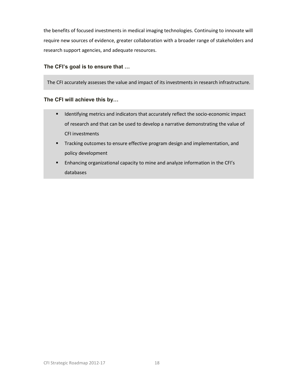the benefits of focused investments in medical imaging technologies. Continuing to innovate will require new sources of evidence, greater collaboration with a broader range of stakeholders and research support agencies, and adequate resources.

#### **The CFI's goal is to ensure that …**

The CFI accurately assesses the value and impact of its investments in research infrastructure.

#### **The CFI will achieve this by…**

- **IDENTIFY IDENTIFY IDENTIFY** Identifying metrics and indicators that accurately reflect the socio-economic impact of research and that can be used to develop a narrative demonstrating the value of CFI investments
- **Tracking outcomes to ensure effective program design and implementation, and** policy development
- Enhancing organizational capacity to mine and analyze information in the CFI's databases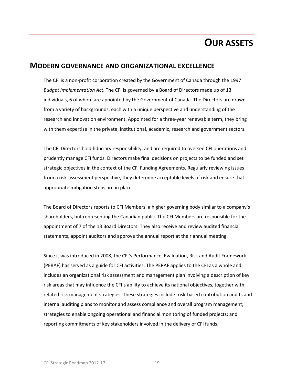# **OUR ASSETS**

## **MODERN GOVERNANCE AND ORGANIZATIONAL EXCELLENCE**

The CFI is a non-profit corporation created by the Government of Canada through the 1997 *Budget Implementation Act*. The CFI is governed by a Board of Directors made up of 13 individuals, 6 of whom are appointed by the Government of Canada. The Directors are drawn from a variety of backgrounds, each with a unique perspective and understanding of the research and innovation environment. Appointed for a three-year renewable term, they bring with them expertise in the private, institutional, academic, research and government sectors.

The CFI Directors hold fiduciary responsibility, and are required to oversee CFI operations and prudently manage CFI funds. Directors make final decisions on projects to be funded and set strategic objectives in the context of the CFI Funding Agreements. Regularly reviewing issues from a risk-assessment perspective, they determine acceptable levels of risk and ensure that appropriate mitigation steps are in place.

The Board of Directors reports to CFI Members, a higher governing body similar to a company's shareholders, but representing the Canadian public. The CFI Members are responsible for the appointment of 7 of the 13 Board Directors. They also receive and review audited financial statements, appoint auditors and approve the annual report at their annual meeting.

Since it was introduced in 2008, the CFI's Performance, Evaluation, Risk and Audit Framework (PERAF) has served as a guide for CFI activities. The PERAF applies to the CFI as a whole and includes an organizational risk assessment and management plan involving a description of key risk areas that may influence the CFI's ability to achieve its national objectives, together with related risk management strategies. These strategies include: risk-based contribution audits and internal auditing plans to monitor and assess compliance and overall program management; strategies to enable ongoing operational and financial monitoring of funded projects; and reporting commitments of key stakeholders involved in the delivery of CFI funds.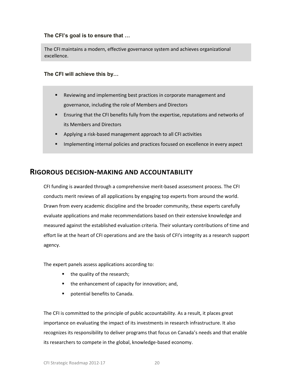#### **The CFI's goal is to ensure that …**

The CFI maintains a modern, effective governance system and achieves organizational excellence.

#### **The CFI will achieve this by…**

- Reviewing and implementing best practices in corporate management and governance, including the role of Members and Directors
- Ensuring that the CFI benefits fully from the expertise, reputations and networks of its Members and Directors
- Applying a risk-based management approach to all CFI activities
- Implementing internal policies and practices focused on excellence in every aspect

## **RIGOROUS DECISION-MAKING AND ACCOUNTABILITY**

CFI funding is awarded through a comprehensive merit-based assessment process. The CFI conducts merit reviews of all applications by engaging top experts from around the world. Drawn from every academic discipline and the broader community, these experts carefully evaluate applications and make recommendations based on their extensive knowledge and measured against the established evaluation criteria. Their voluntary contributions of time and effort lie at the heart of CFI operations and are the basis of CFI's integrity as a research support agency.

The expert panels assess applications according to:

- the quality of the research;
- the enhancement of capacity for innovation; and,
- potential benefits to Canada.

The CFI is committed to the principle of public accountability. As a result, it places great importance on evaluating the impact of its investments in research infrastructure. It also recognizes its responsibility to deliver programs that focus on Canada's needs and that enable its researchers to compete in the global, knowledge-based economy.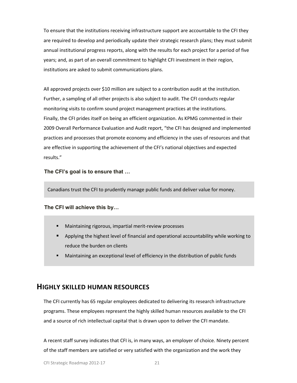To ensure that the institutions receiving infrastructure support are accountable to the CFI they are required to develop and periodically update their strategic research plans; they must submit annual institutional progress reports, along with the results for each project for a period of five years; and, as part of an overall commitment to highlight CFI investment in their region, institutions are asked to submit communications plans.

All approved projects over \$10 million are subject to a contribution audit at the institution. Further, a sampling of all other projects is also subject to audit. The CFI conducts regular monitoring visits to confirm sound project management practices at the institutions. Finally, the CFI prides itself on being an efficient organization. As KPMG commented in their 2009 Overall Performance Evaluation and Audit report, "the CFI has designed and implemented practices and processes that promote economy and efficiency in the uses of resources and that are effective in supporting the achievement of the CFI's national objectives and expected results."

**The CFI's goal is to ensure that …**

Canadians trust the CFI to prudently manage public funds and deliver value for money.

#### **The CFI will achieve this by…**

- Maintaining rigorous, impartial merit-review processes
- Applying the highest level of financial and operational accountability while working to reduce the burden on clients
- Maintaining an exceptional level of efficiency in the distribution of public funds

## **HIGHLY SKILLED HUMAN RESOURCES**

The CFI currently has 65 regular employees dedicated to delivering its research infrastructure programs. These employees represent the highly skilled human resources available to the CFI and a source of rich intellectual capital that is drawn upon to deliver the CFI mandate.

A recent staff survey indicates that CFI is, in many ways, an employer of choice. Ninety percent of the staff members are satisfied or very satisfied with the organization and the work they